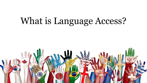# What is Language Access?

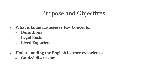## Purpose and Objectives

- **● What is language access? Key Concepts.** 
	- **● Definitions**
	- **● Legal Basis**
	- **● Lived Experience**
- **● Understanding the English learner experience**
	- **● Guided discussion**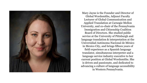

Mary Jayne is the Founder and Director of Global Wordsmiths, Adjunct Faculty Lecturer of Global Communication and Applied Translation at Carnegie Mellon University, and co-chair of the Pennsylvania Immigration and Citizenship Coalition Board of Directors. She studied public service at the University of Pittsburgh and language translation & interpretation at the Universidad Autónoma Nacional de México in Mexico City, and brings fifteen years of field experience as a Spanish language translator, simultaneous interpreter and a language service industry executive to her current position at Global Wordsmiths. She is driven and passionate, and dedicated to advancing a culture of language accessibility in Western Pennsylvania.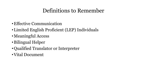## Definitions to Remember

- •Effective Communication
- •Limited English Proficient (LEP) Individuals
- •Meaningful Access
- •Bilingual Helper
- •Qualified Translator or Interpreter
- •Vital Document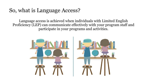## So, what is Language Access?

Language access is achieved when individuals with Limited English Proficiency (LEP) can communicate effectively with your program staff and participate in your programs and activities.

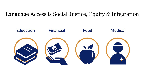#### Language Access is Social Justice, Equity & Integration

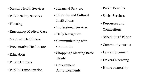- Mental Health Services
- Public Safety Services
- Housing
- Emergency Medical Care
- Maternal Healthcare
- Preventative Healthcare
- Education
- Public Utilities
- Public Transportation
- Financial Services
- Libraries and Cultural Institutions
- Professional Services
- Daily Navigation
- Communicating with community
- Shopping/ Meeting Basic Needs
- Government Announcements
- Public Benefits
- Social Services
- Resources and **Connections**
- Scheduling/Phone
- Community norms
- Law enforcement
- Drivers Licensing
- Home ownership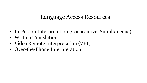#### Language Access Resources

- In-Person Interpretation (Consecutive, Simultaneous)
- Written Translation
- Video Remote Interpretation (VRI)
- Over-the-Phone Interpretation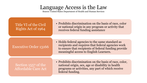#### Language Access is the Law

Source: United States Department of Health and Human Services

#### Title VI of the Civil Rights Act of 1964

• Prohibits discrimination on the basis of race, color or national origin in any program or activity that receives federal funding assistance

#### Executive Order 13166

Section 1557 of the Affordable Care Act • Holds federal agencies to the same standard as recipients and requires that federal agencies work to ensure that recipients of federal funding provide meaningful access to English Learners.

• Prohibits discrimination on the basis of race, color, national origin, sex, age or disability in health programs or activities, any part of which receive federal funding.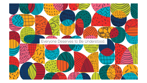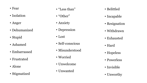- Fear
- Isolation
- Anger
- Dehumanized
- Stupid
- Ashamed
- Embarrassed
- Frustrated
- Alone
- Stigmatized
- "Less than"
- "Other"
- Anxiety
- Depression
- Lost
- Self-conscious
- Misunderstood
- Worried
- Unwelcome
- Unwanted
- Belittled
- Incapable
- Resignation
- Withdrawn
- Exhausted
- Hard
- Hopeless
- Powerless
- Invisible
- Unworthy